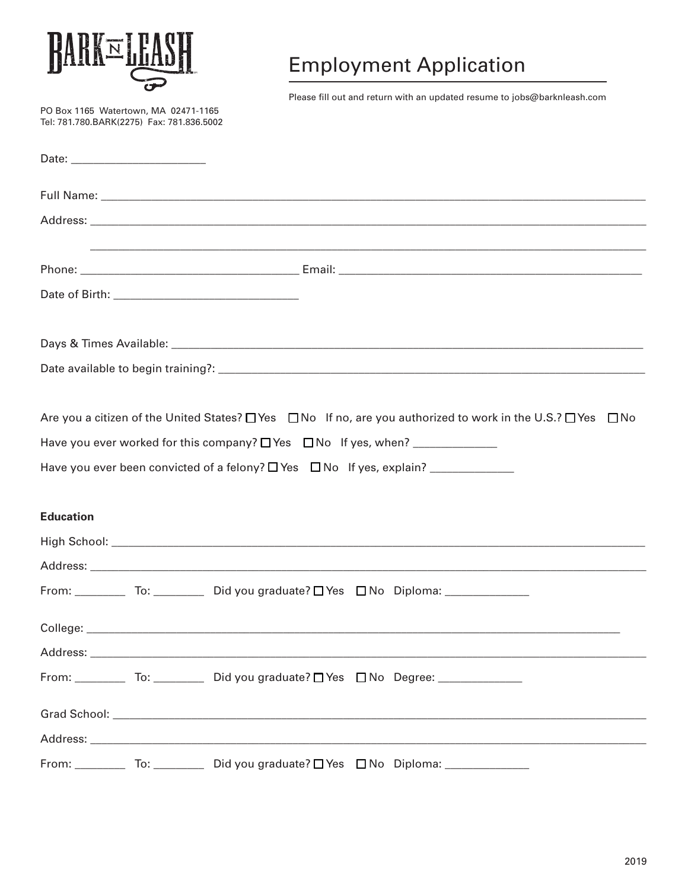

PO Box 1165 Watertown, MA 02471-1165 Tel: 781.780.BARK(2275) Fax: 781.836.5002

## **Employment Application**

Please fill out and return with an updated resume to jobs@barknleash.com

| <b>Education</b> |                                                           | Have you ever been convicted of a felony? $\Box$ Yes $\Box$ No If yes, explain? ___________              |  |
|------------------|-----------------------------------------------------------|----------------------------------------------------------------------------------------------------------|--|
|                  |                                                           |                                                                                                          |  |
|                  |                                                           |                                                                                                          |  |
|                  |                                                           | From: _____________ To: _____________ Did you graduate? $\Box$ Yes $\Box$ No Diploma: __________________ |  |
|                  |                                                           |                                                                                                          |  |
|                  |                                                           |                                                                                                          |  |
|                  |                                                           | From: ____________ To: ____________ Did you graduate? □ Yes □ No Degree: ______________                  |  |
|                  |                                                           |                                                                                                          |  |
|                  |                                                           |                                                                                                          |  |
|                  | From: To: Did you graduate? $\Box$ Yes $\Box$ No Diploma: |                                                                                                          |  |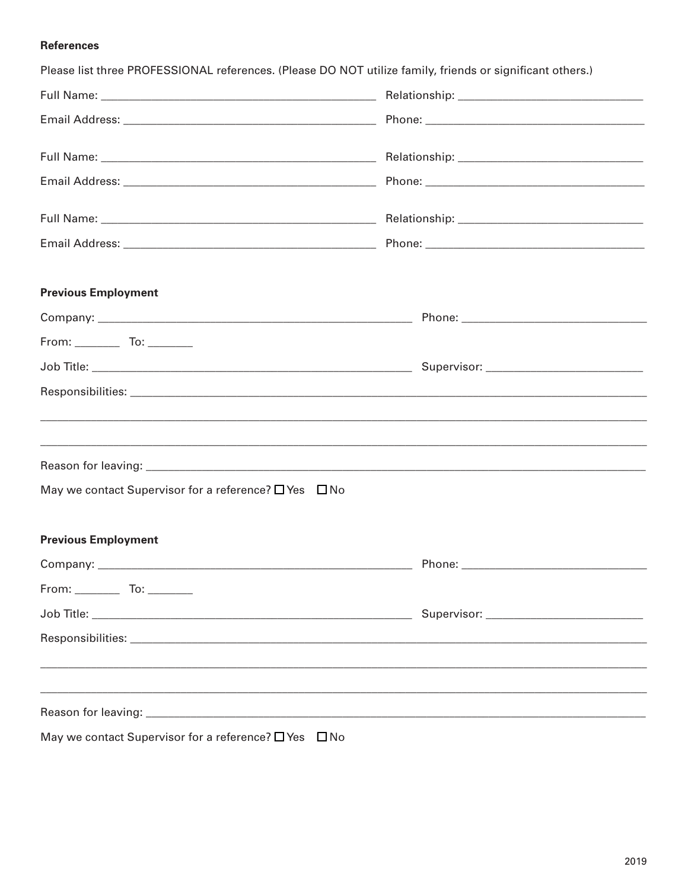## **References**

| Please list three PROFESSIONAL references. (Please DO NOT utilize family, friends or significant others.) |  |  |  |
|-----------------------------------------------------------------------------------------------------------|--|--|--|
|                                                                                                           |  |  |  |
|                                                                                                           |  |  |  |
|                                                                                                           |  |  |  |
|                                                                                                           |  |  |  |
|                                                                                                           |  |  |  |
|                                                                                                           |  |  |  |
| <b>Previous Employment</b>                                                                                |  |  |  |
|                                                                                                           |  |  |  |
|                                                                                                           |  |  |  |
|                                                                                                           |  |  |  |
|                                                                                                           |  |  |  |
|                                                                                                           |  |  |  |
|                                                                                                           |  |  |  |
| May we contact Supervisor for a reference? $\Box$ Yes $\Box$ No                                           |  |  |  |
| <b>Previous Employment</b>                                                                                |  |  |  |
|                                                                                                           |  |  |  |
| From: ______________ To: __________                                                                       |  |  |  |
|                                                                                                           |  |  |  |
|                                                                                                           |  |  |  |
|                                                                                                           |  |  |  |
| ,我们也不会有什么。""我们的人,我们也不会有什么?""我们的人,我们也不会有什么?""我们的人,我们也不会有什么?""我们的人,我们也不会有什么?""我们的人                          |  |  |  |
|                                                                                                           |  |  |  |
| May we contact Supervisor for a reference? $\Box$ Yes $\Box$ No                                           |  |  |  |